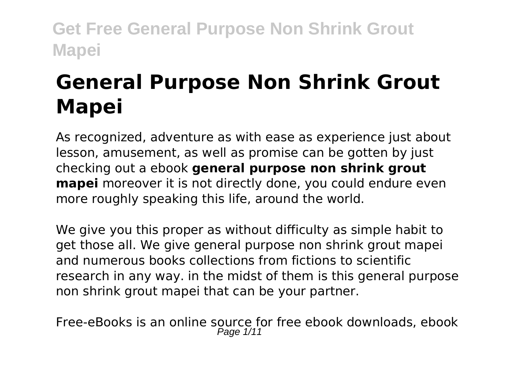# **General Purpose Non Shrink Grout Mapei**

As recognized, adventure as with ease as experience just about lesson, amusement, as well as promise can be gotten by just checking out a ebook **general purpose non shrink grout mapei** moreover it is not directly done, you could endure even more roughly speaking this life, around the world.

We give you this proper as without difficulty as simple habit to get those all. We give general purpose non shrink grout mapei and numerous books collections from fictions to scientific research in any way. in the midst of them is this general purpose non shrink grout mapei that can be your partner.

Free-eBooks is an online source for free ebook downloads, ebook Page 1/11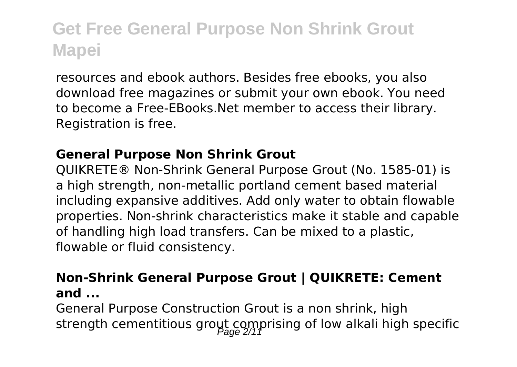resources and ebook authors. Besides free ebooks, you also download free magazines or submit your own ebook. You need to become a Free-EBooks.Net member to access their library. Registration is free.

#### **General Purpose Non Shrink Grout**

QUIKRETE® Non-Shrink General Purpose Grout (No. 1585-01) is a high strength, non-metallic portland cement based material including expansive additives. Add only water to obtain flowable properties. Non-shrink characteristics make it stable and capable of handling high load transfers. Can be mixed to a plastic, flowable or fluid consistency.

#### **Non-Shrink General Purpose Grout | QUIKRETE: Cement and ...**

General Purpose Construction Grout is a non shrink, high strength cementitious grout comprising of low alkali high specific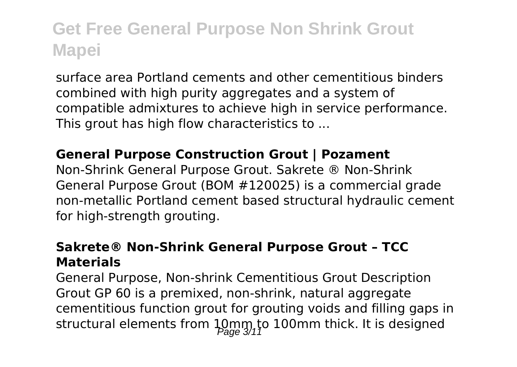surface area Portland cements and other cementitious binders combined with high purity aggregates and a system of compatible admixtures to achieve high in service performance. This grout has high flow characteristics to ...

#### **General Purpose Construction Grout | Pozament**

Non-Shrink General Purpose Grout. Sakrete ® Non-Shrink General Purpose Grout (BOM #120025) is a commercial grade non-metallic Portland cement based structural hydraulic cement for high-strength grouting.

#### **Sakrete® Non-Shrink General Purpose Grout – TCC Materials**

General Purpose, Non-shrink Cementitious Grout Description Grout GP 60 is a premixed, non-shrink, natural aggregate cementitious function grout for grouting voids and filling gaps in structural elements from  $\lim_{\beta \to 0} \lim_{\beta \to 1}$  to 100mm thick. It is designed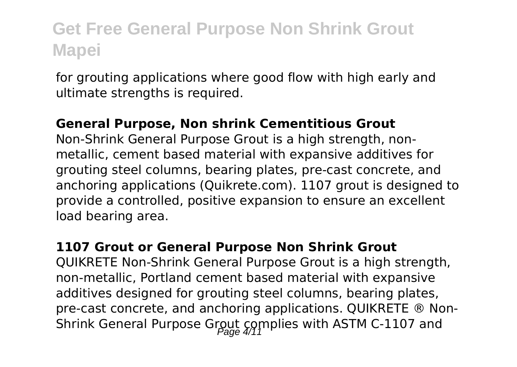for grouting applications where good flow with high early and ultimate strengths is required.

#### **General Purpose, Non shrink Cementitious Grout**

Non-Shrink General Purpose Grout is a high strength, nonmetallic, cement based material with expansive additives for grouting steel columns, bearing plates, pre-cast concrete, and anchoring applications (Quikrete.com). 1107 grout is designed to provide a controlled, positive expansion to ensure an excellent load bearing area.

#### **1107 Grout or General Purpose Non Shrink Grout**

QUIKRETE Non-Shrink General Purpose Grout is a high strength, non-metallic, Portland cement based material with expansive additives designed for grouting steel columns, bearing plates, pre-cast concrete, and anchoring applications. QUIKRETE ® Non-Shrink General Purpose Grout complies with ASTM C-1107 and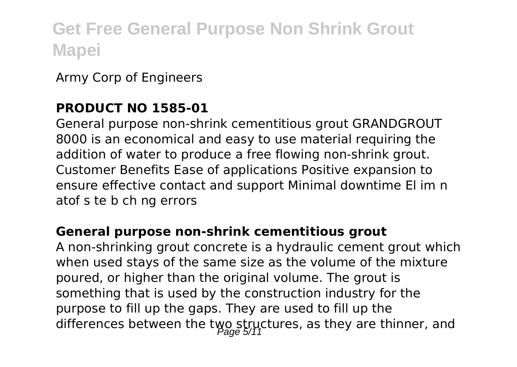Army Corp of Engineers

### **PRODUCT NO 1585-01**

General purpose non-shrink cementitious grout GRANDGROUT 8000 is an economical and easy to use material requiring the addition of water to produce a free flowing non-shrink grout. Customer Benefits Ease of applications Positive expansion to ensure effective contact and support Minimal downtime El im n atof s te b ch ng errors

#### **General purpose non-shrink cementitious grout**

A non-shrinking grout concrete is a hydraulic cement grout which when used stays of the same size as the volume of the mixture poured, or higher than the original volume. The grout is something that is used by the construction industry for the purpose to fill up the gaps. They are used to fill up the differences between the two structures, as they are thinner, and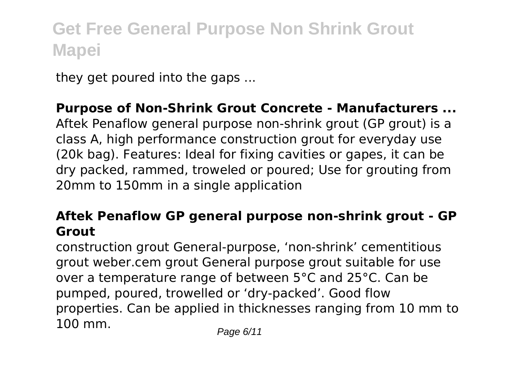they get poured into the gaps ...

#### **Purpose of Non-Shrink Grout Concrete - Manufacturers ...**

Aftek Penaflow general purpose non-shrink grout (GP grout) is a class A, high performance construction grout for everyday use (20k bag). Features: Ideal for fixing cavities or gapes, it can be dry packed, rammed, troweled or poured; Use for grouting from 20mm to 150mm in a single application

#### **Aftek Penaflow GP general purpose non-shrink grout - GP Grout**

construction grout General-purpose, 'non-shrink' cementitious grout weber.cem grout General purpose grout suitable for use over a temperature range of between 5°C and 25°C. Can be pumped, poured, trowelled or 'dry-packed'. Good flow properties. Can be applied in thicknesses ranging from 10 mm to 100 mm. Page 6/11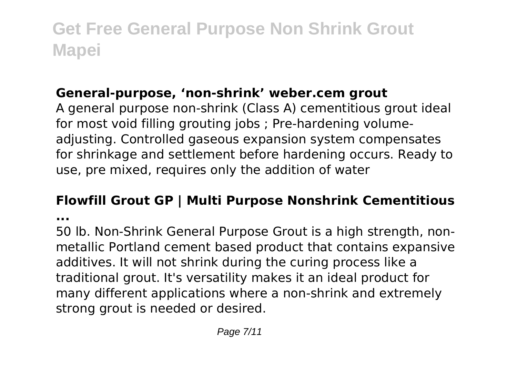### **General-purpose, 'non-shrink' weber.cem grout**

A general purpose non-shrink (Class A) cementitious grout ideal for most void filling grouting jobs ; Pre-hardening volumeadjusting. Controlled gaseous expansion system compensates for shrinkage and settlement before hardening occurs. Ready to use, pre mixed, requires only the addition of water

### **Flowfill Grout GP | Multi Purpose Nonshrink Cementitious**

**...**

50 lb. Non-Shrink General Purpose Grout is a high strength, nonmetallic Portland cement based product that contains expansive additives. It will not shrink during the curing process like a traditional grout. It's versatility makes it an ideal product for many different applications where a non-shrink and extremely strong grout is needed or desired.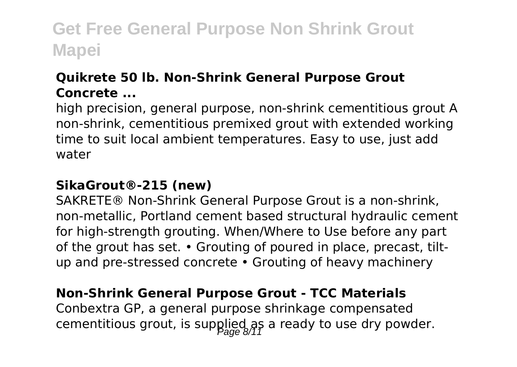### **Quikrete 50 lb. Non-Shrink General Purpose Grout Concrete ...**

high precision, general purpose, non-shrink cementitious grout A non-shrink, cementitious premixed grout with extended working time to suit local ambient temperatures. Easy to use, just add water

#### **SikaGrout®-215 (new)**

SAKRETE® Non-Shrink General Purpose Grout is a non-shrink, non-metallic, Portland cement based structural hydraulic cement for high-strength grouting. When/Where to Use before any part of the grout has set. • Grouting of poured in place, precast, tiltup and pre-stressed concrete • Grouting of heavy machinery

### **Non-Shrink General Purpose Grout - TCC Materials**

Conbextra GP, a general purpose shrinkage compensated cementitious grout, is supplied as a ready to use dry powder.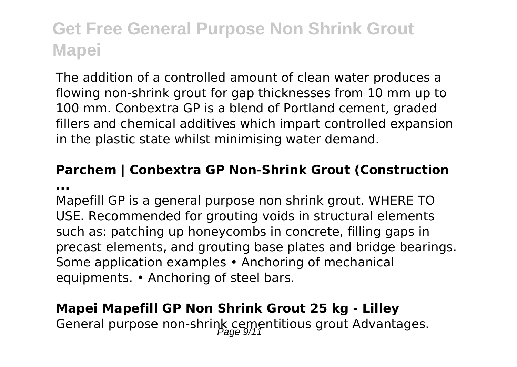The addition of a controlled amount of clean water produces a flowing non-shrink grout for gap thicknesses from 10 mm up to 100 mm. Conbextra GP is a blend of Portland cement, graded fillers and chemical additives which impart controlled expansion in the plastic state whilst minimising water demand.

#### **Parchem | Conbextra GP Non-Shrink Grout (Construction ...**

Mapefill GP is a general purpose non shrink grout. WHERE TO USE. Recommended for grouting voids in structural elements such as: patching up honeycombs in concrete, filling gaps in precast elements, and grouting base plates and bridge bearings. Some application examples • Anchoring of mechanical equipments. • Anchoring of steel bars.

### **Mapei Mapefill GP Non Shrink Grout 25 kg - Lilley**

General purpose non-shrink cementitious grout Advantages.